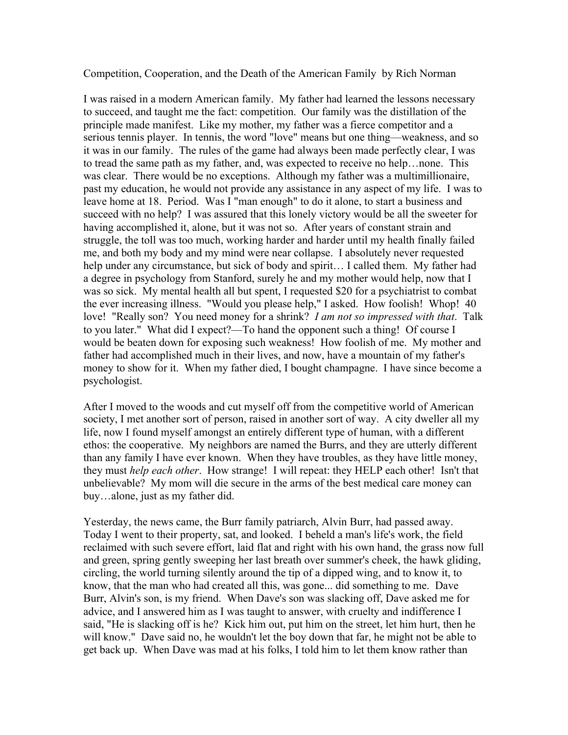Competition, Cooperation, and the Death of the American Family by Rich Norman

I was raised in a modern American family. My father had learned the lessons necessary to succeed, and taught me the fact: competition. Our family was the distillation of the principle made manifest. Like my mother, my father was a fierce competitor and a serious tennis player. In tennis, the word "love" means but one thing––weakness, and so it was in our family. The rules of the game had always been made perfectly clear, I was to tread the same path as my father, and, was expected to receive no help…none. This was clear. There would be no exceptions. Although my father was a multimillionaire, past my education, he would not provide any assistance in any aspect of my life. I was to leave home at 18. Period. Was I "man enough" to do it alone, to start a business and succeed with no help? I was assured that this lonely victory would be all the sweeter for having accomplished it, alone, but it was not so. After years of constant strain and struggle, the toll was too much, working harder and harder until my health finally failed me, and both my body and my mind were near collapse. I absolutely never requested help under any circumstance, but sick of body and spirit... I called them. My father had a degree in psychology from Stanford, surely he and my mother would help, now that I was so sick. My mental health all but spent, I requested \$20 for a psychiatrist to combat the ever increasing illness. "Would you please help," I asked. How foolish! Whop! 40 love! "Really son? You need money for a shrink? *I am not so impressed with that*. Talk to you later." What did I expect?––To hand the opponent such a thing! Of course I would be beaten down for exposing such weakness! How foolish of me. My mother and father had accomplished much in their lives, and now, have a mountain of my father's money to show for it. When my father died, I bought champagne. I have since become a psychologist.

After I moved to the woods and cut myself off from the competitive world of American society, I met another sort of person, raised in another sort of way. A city dweller all my life, now I found myself amongst an entirely different type of human, with a different ethos: the cooperative. My neighbors are named the Burrs, and they are utterly different than any family I have ever known. When they have troubles, as they have little money, they must *help each other*. How strange! I will repeat: they HELP each other! Isn't that unbelievable? My mom will die secure in the arms of the best medical care money can buy…alone, just as my father did.

Yesterday, the news came, the Burr family patriarch, Alvin Burr, had passed away. Today I went to their property, sat, and looked. I beheld a man's life's work, the field reclaimed with such severe effort, laid flat and right with his own hand, the grass now full and green, spring gently sweeping her last breath over summer's cheek, the hawk gliding, circling, the world turning silently around the tip of a dipped wing, and to know it, to know, that the man who had created all this, was gone... did something to me. Dave Burr, Alvin's son, is my friend. When Dave's son was slacking off, Dave asked me for advice, and I answered him as I was taught to answer, with cruelty and indifference I said, "He is slacking off is he? Kick him out, put him on the street, let him hurt, then he will know." Dave said no, he wouldn't let the boy down that far, he might not be able to get back up. When Dave was mad at his folks, I told him to let them know rather than